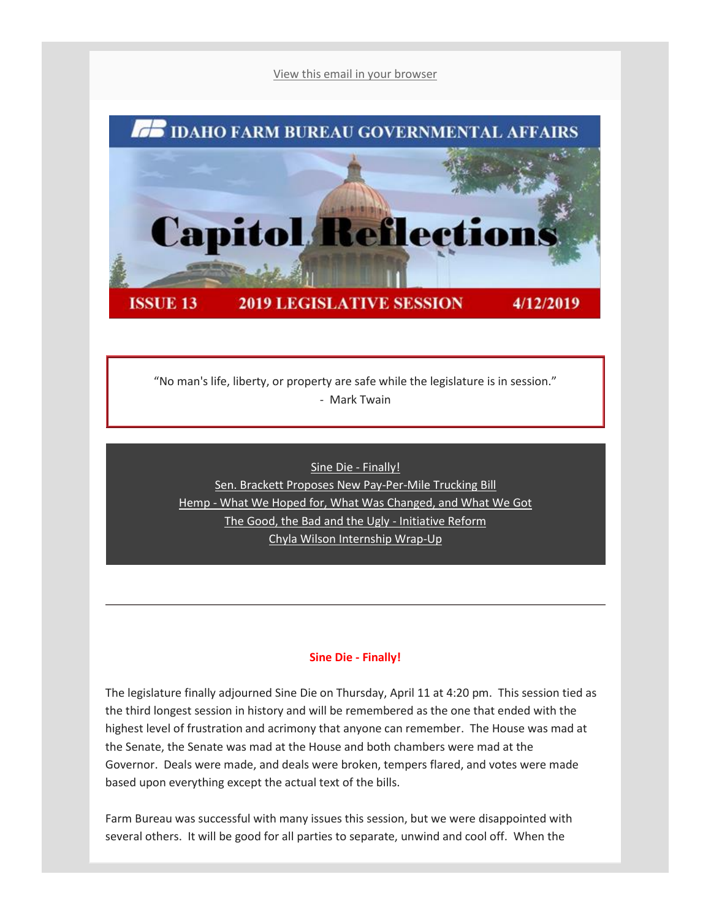[View this email in your browser](mhtml:file://C:/Users/mbechaver/AppData/Local/Microsoft/Windows/INetCache/Content.Outlook/55FT1RMR/email%20(005).mht!https://mailchi.mp/idahofb.org/capitol-reflections-issue-13?e=a4ab29d1bd)



"No man's life, liberty, or property are safe while the legislature is in session." - Mark Twain

[Sine Die -](file:///C:/Users/mbechaver/AppData/Local/Microsoft/Windows/INetCache/Content.Outlook/55FT1RMR/email%20(005).mht%23Sine%20D) Finally! [Sen. Brackett Proposes New Pay-Per-Mile Trucking Bill](file:///C:/Users/mbechaver/AppData/Local/Microsoft/Windows/INetCache/Content.Outlook/55FT1RMR/email%20(005).mht%23Sen%20B) [He](file:///C:/Users/mbechaver/AppData/Local/Microsoft/Windows/INetCache/Content.Outlook/55FT1RMR/email%20(005).mht%23Hemp)mp - [What We Hoped for, What Was Changed, and What We Got](file:///C:/Users/mbechaver/AppData/Local/Microsoft/Windows/INetCache/Content.Outlook/55FT1RMR/email%20(005).mht%23Hemp) [The Good, the Bad and the Ugly -](file:///C:/Users/mbechaver/AppData/Local/Microsoft/Windows/INetCache/Content.Outlook/55FT1RMR/email%20(005).mht%23The%20Good) Initiative Reform [Chyla Wilson Internship Wrap-Up](file:///C:/Users/mbechaver/AppData/Local/Microsoft/Windows/INetCache/Content.Outlook/55FT1RMR/email%20(005).mht%23Chyla)

# **Sine Die - Finally!**

The legislature finally adjourned Sine Die on Thursday, April 11 at 4:20 pm. This session tied as the third longest session in history and will be remembered as the one that ended with the highest level of frustration and acrimony that anyone can remember. The House was mad at the Senate, the Senate was mad at the House and both chambers were mad at the Governor. Deals were made, and deals were broken, tempers flared, and votes were made based upon everything except the actual text of the bills.

Farm Bureau was successful with many issues this session, but we were disappointed with several others. It will be good for all parties to separate, unwind and cool off. When the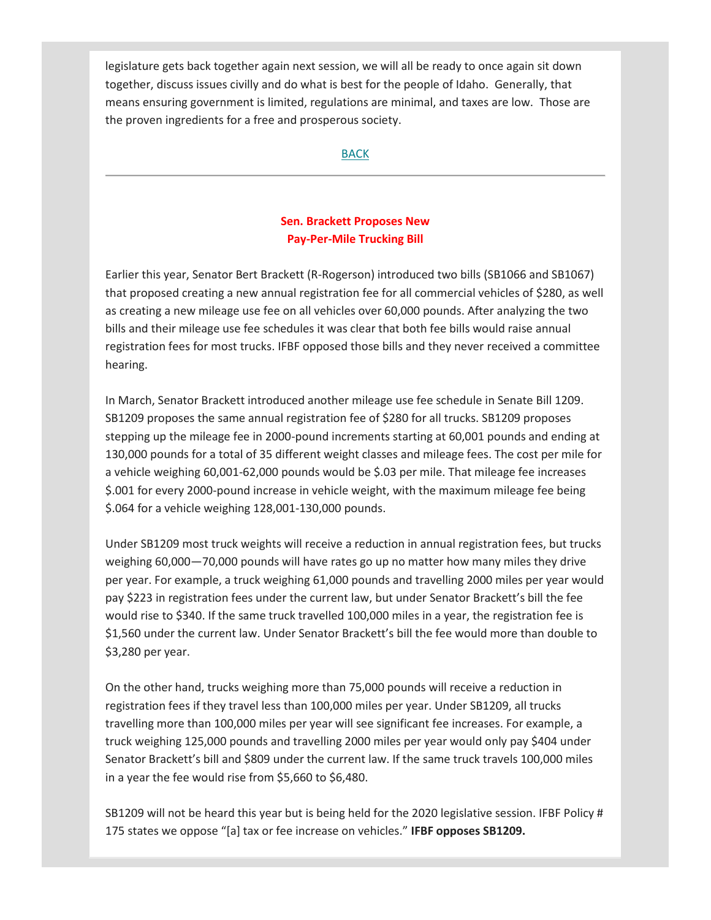legislature gets back together again next session, we will all be ready to once again sit down together, discuss issues civilly and do what is best for the people of Idaho. Generally, that means ensuring government is limited, regulations are minimal, and taxes are low. Those are the proven ingredients for a free and prosperous society.

### [BACK](file:///C:/Users/mbechaver/AppData/Local/Microsoft/Windows/INetCache/Content.Outlook/55FT1RMR/email%20(005).mht%23Navigation)

# **Sen. Brackett Proposes New Pay-Per-Mile Trucking Bill**

Earlier this year, Senator Bert Brackett (R-Rogerson) introduced two bills (SB1066 and SB1067) that proposed creating a new annual registration fee for all commercial vehicles of \$280, as well as creating a new mileage use fee on all vehicles over 60,000 pounds. After analyzing the two bills and their mileage use fee schedules it was clear that both fee bills would raise annual registration fees for most trucks. IFBF opposed those bills and they never received a committee hearing.

In March, Senator Brackett introduced another mileage use fee schedule in Senate Bill 1209. SB1209 proposes the same annual registration fee of \$280 for all trucks. SB1209 proposes stepping up the mileage fee in 2000-pound increments starting at 60,001 pounds and ending at 130,000 pounds for a total of 35 different weight classes and mileage fees. The cost per mile for a vehicle weighing 60,001-62,000 pounds would be \$.03 per mile. That mileage fee increases \$.001 for every 2000-pound increase in vehicle weight, with the maximum mileage fee being \$.064 for a vehicle weighing 128,001-130,000 pounds.

Under SB1209 most truck weights will receive a reduction in annual registration fees, but trucks weighing 60,000—70,000 pounds will have rates go up no matter how many miles they drive per year. For example, a truck weighing 61,000 pounds and travelling 2000 miles per year would pay \$223 in registration fees under the current law, but under Senator Brackett's bill the fee would rise to \$340. If the same truck travelled 100,000 miles in a year, the registration fee is \$1,560 under the current law. Under Senator Brackett's bill the fee would more than double to \$3,280 per year.

On the other hand, trucks weighing more than 75,000 pounds will receive a reduction in registration fees if they travel less than 100,000 miles per year. Under SB1209, all trucks travelling more than 100,000 miles per year will see significant fee increases. For example, a truck weighing 125,000 pounds and travelling 2000 miles per year would only pay \$404 under Senator Brackett's bill and \$809 under the current law. If the same truck travels 100,000 miles in a year the fee would rise from \$5,660 to \$6,480.

SB1209 will not be heard this year but is being held for the 2020 legislative session. IFBF Policy # 175 states we oppose "[a] tax or fee increase on vehicles." **IFBF opposes SB1209.**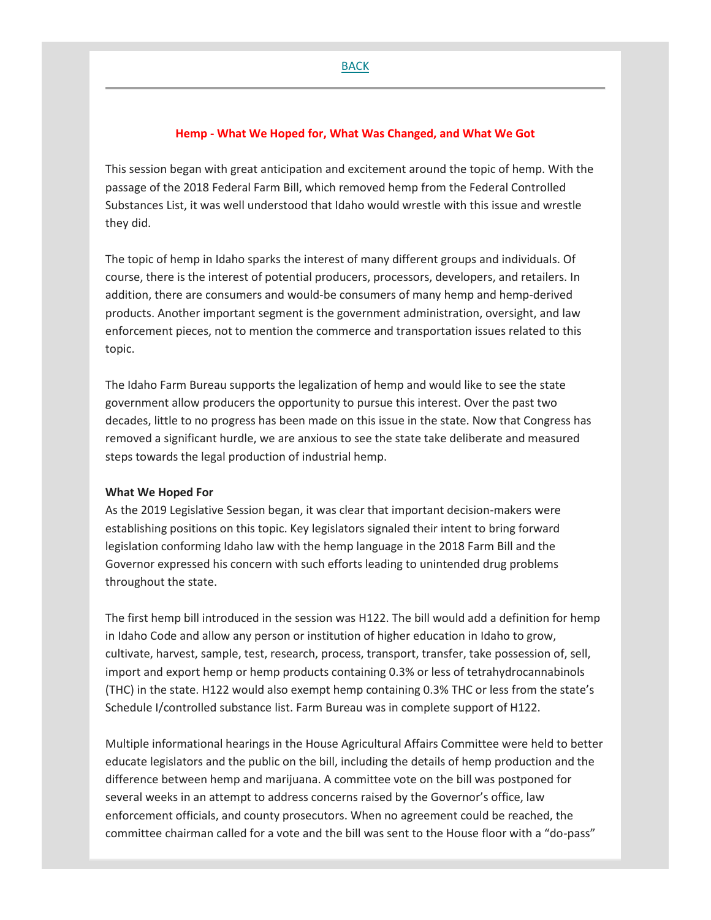### **Hemp - What We Hoped for, What Was Changed, and What We Got**

This session began with great anticipation and excitement around the topic of hemp. With the passage of the 2018 Federal Farm Bill, which removed hemp from the Federal Controlled Substances List, it was well understood that Idaho would wrestle with this issue and wrestle they did.

The topic of hemp in Idaho sparks the interest of many different groups and individuals. Of course, there is the interest of potential producers, processors, developers, and retailers. In addition, there are consumers and would-be consumers of many hemp and hemp-derived products. Another important segment is the government administration, oversight, and law enforcement pieces, not to mention the commerce and transportation issues related to this topic.

The Idaho Farm Bureau supports the legalization of hemp and would like to see the state government allow producers the opportunity to pursue this interest. Over the past two decades, little to no progress has been made on this issue in the state. Now that Congress has removed a significant hurdle, we are anxious to see the state take deliberate and measured steps towards the legal production of industrial hemp.

#### **What We Hoped For**

As the 2019 Legislative Session began, it was clear that important decision-makers were establishing positions on this topic. Key legislators signaled their intent to bring forward legislation conforming Idaho law with the hemp language in the 2018 Farm Bill and the Governor expressed his concern with such efforts leading to unintended drug problems throughout the state.

The first hemp bill introduced in the session was H122. The bill would add a definition for hemp in Idaho Code and allow any person or institution of higher education in Idaho to grow, cultivate, harvest, sample, test, research, process, transport, transfer, take possession of, sell, import and export hemp or hemp products containing 0.3% or less of tetrahydrocannabinols (THC) in the state. H122 would also exempt hemp containing 0.3% THC or less from the state's Schedule I/controlled substance list. Farm Bureau was in complete support of H122.

Multiple informational hearings in the House Agricultural Affairs Committee were held to better educate legislators and the public on the bill, including the details of hemp production and the difference between hemp and marijuana. A committee vote on the bill was postponed for several weeks in an attempt to address concerns raised by the Governor's office, law enforcement officials, and county prosecutors. When no agreement could be reached, the committee chairman called for a vote and the bill was sent to the House floor with a "do-pass"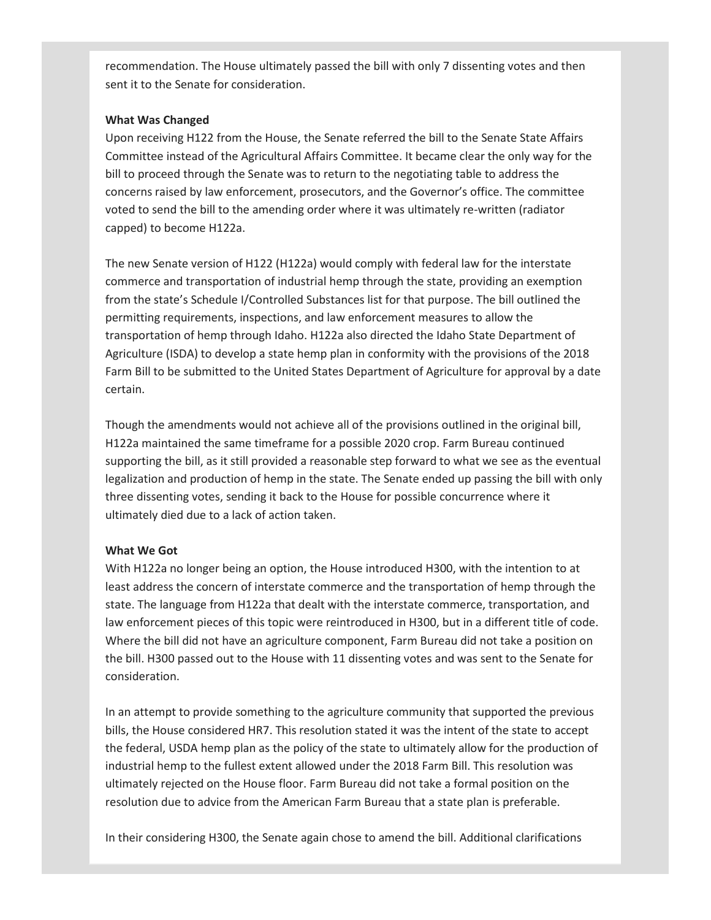recommendation. The House ultimately passed the bill with only 7 dissenting votes and then sent it to the Senate for consideration.

### **What Was Changed**

Upon receiving H122 from the House, the Senate referred the bill to the Senate State Affairs Committee instead of the Agricultural Affairs Committee. It became clear the only way for the bill to proceed through the Senate was to return to the negotiating table to address the concerns raised by law enforcement, prosecutors, and the Governor's office. The committee voted to send the bill to the amending order where it was ultimately re-written (radiator capped) to become H122a.

The new Senate version of H122 (H122a) would comply with federal law for the interstate commerce and transportation of industrial hemp through the state, providing an exemption from the state's Schedule I/Controlled Substances list for that purpose. The bill outlined the permitting requirements, inspections, and law enforcement measures to allow the transportation of hemp through Idaho. H122a also directed the Idaho State Department of Agriculture (ISDA) to develop a state hemp plan in conformity with the provisions of the 2018 Farm Bill to be submitted to the United States Department of Agriculture for approval by a date certain.

Though the amendments would not achieve all of the provisions outlined in the original bill, H122a maintained the same timeframe for a possible 2020 crop. Farm Bureau continued supporting the bill, as it still provided a reasonable step forward to what we see as the eventual legalization and production of hemp in the state. The Senate ended up passing the bill with only three dissenting votes, sending it back to the House for possible concurrence where it ultimately died due to a lack of action taken.

# **What We Got**

With H122a no longer being an option, the House introduced H300, with the intention to at least address the concern of interstate commerce and the transportation of hemp through the state. The language from H122a that dealt with the interstate commerce, transportation, and law enforcement pieces of this topic were reintroduced in H300, but in a different title of code. Where the bill did not have an agriculture component, Farm Bureau did not take a position on the bill. H300 passed out to the House with 11 dissenting votes and was sent to the Senate for consideration.

In an attempt to provide something to the agriculture community that supported the previous bills, the House considered HR7. This resolution stated it was the intent of the state to accept the federal, USDA hemp plan as the policy of the state to ultimately allow for the production of industrial hemp to the fullest extent allowed under the 2018 Farm Bill. This resolution was ultimately rejected on the House floor. Farm Bureau did not take a formal position on the resolution due to advice from the American Farm Bureau that a state plan is preferable.

In their considering H300, the Senate again chose to amend the bill. Additional clarifications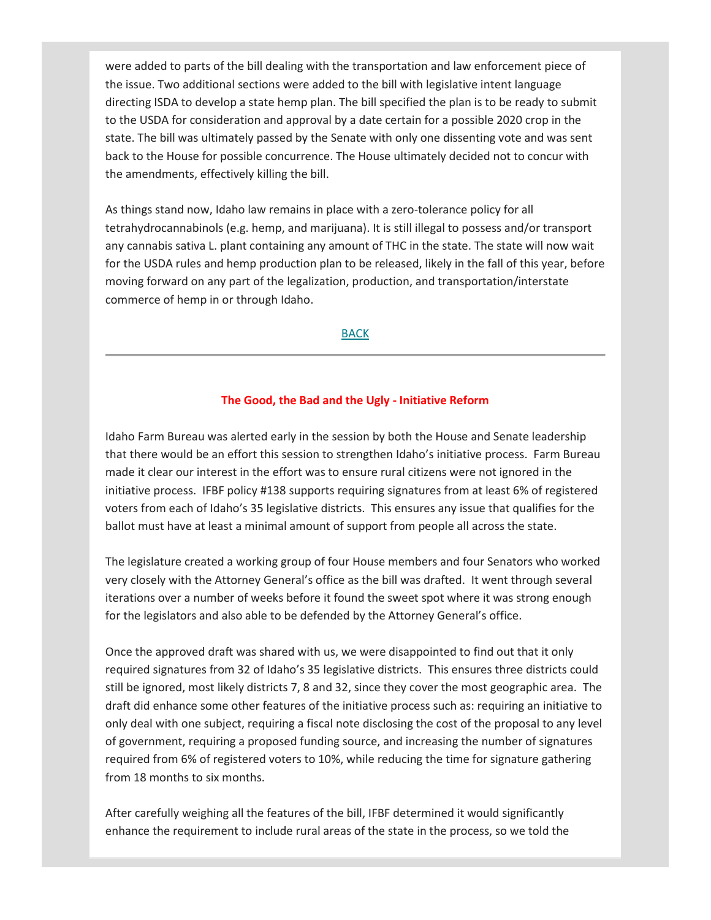were added to parts of the bill dealing with the transportation and law enforcement piece of the issue. Two additional sections were added to the bill with legislative intent language directing ISDA to develop a state hemp plan. The bill specified the plan is to be ready to submit to the USDA for consideration and approval by a date certain for a possible 2020 crop in the state. The bill was ultimately passed by the Senate with only one dissenting vote and was sent back to the House for possible concurrence. The House ultimately decided not to concur with the amendments, effectively killing the bill.

As things stand now, Idaho law remains in place with a zero-tolerance policy for all tetrahydrocannabinols (e.g. hemp, and marijuana). It is still illegal to possess and/or transport any cannabis sativa L. plant containing any amount of THC in the state. The state will now wait for the USDA rules and hemp production plan to be released, likely in the fall of this year, before moving forward on any part of the legalization, production, and transportation/interstate commerce of hemp in or through Idaho.

### [BACK](file:///C:/Users/mbechaver/AppData/Local/Microsoft/Windows/INetCache/Content.Outlook/55FT1RMR/email%20(005).mht%23Navigation)

#### **The Good, the Bad and the Ugly - Initiative Reform**

Idaho Farm Bureau was alerted early in the session by both the House and Senate leadership that there would be an effort this session to strengthen Idaho's initiative process. Farm Bureau made it clear our interest in the effort was to ensure rural citizens were not ignored in the initiative process. IFBF policy #138 supports requiring signatures from at least 6% of registered voters from each of Idaho's 35 legislative districts. This ensures any issue that qualifies for the ballot must have at least a minimal amount of support from people all across the state.

The legislature created a working group of four House members and four Senators who worked very closely with the Attorney General's office as the bill was drafted. It went through several iterations over a number of weeks before it found the sweet spot where it was strong enough for the legislators and also able to be defended by the Attorney General's office.

Once the approved draft was shared with us, we were disappointed to find out that it only required signatures from 32 of Idaho's 35 legislative districts. This ensures three districts could still be ignored, most likely districts 7, 8 and 32, since they cover the most geographic area. The draft did enhance some other features of the initiative process such as: requiring an initiative to only deal with one subject, requiring a fiscal note disclosing the cost of the proposal to any level of government, requiring a proposed funding source, and increasing the number of signatures required from 6% of registered voters to 10%, while reducing the time for signature gathering from 18 months to six months.

After carefully weighing all the features of the bill, IFBF determined it would significantly enhance the requirement to include rural areas of the state in the process, so we told the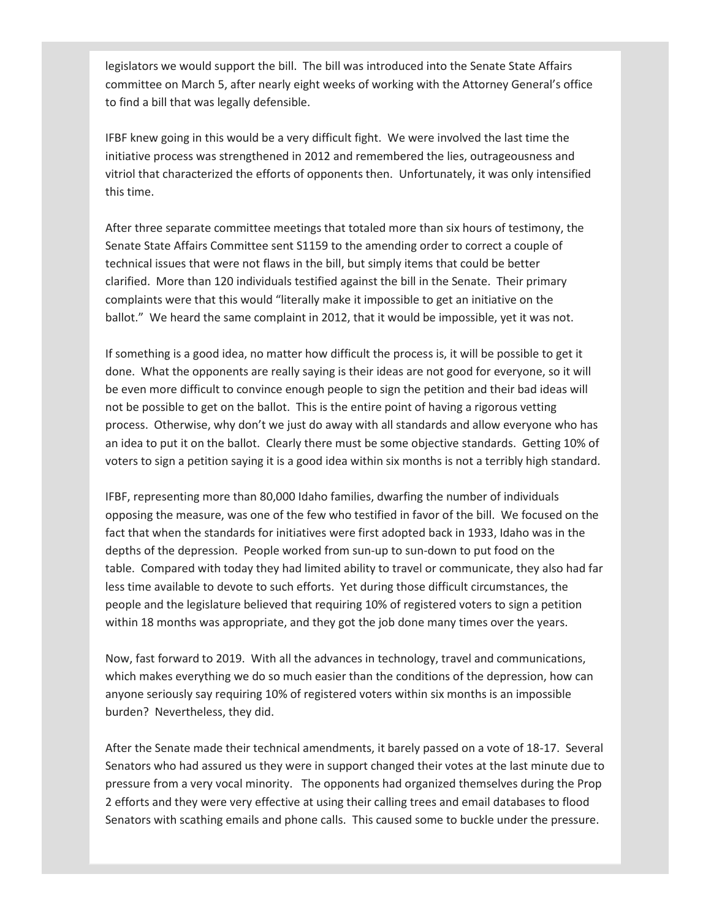legislators we would support the bill. The bill was introduced into the Senate State Affairs committee on March 5, after nearly eight weeks of working with the Attorney General's office to find a bill that was legally defensible.

IFBF knew going in this would be a very difficult fight. We were involved the last time the initiative process was strengthened in 2012 and remembered the lies, outrageousness and vitriol that characterized the efforts of opponents then. Unfortunately, it was only intensified this time.

After three separate committee meetings that totaled more than six hours of testimony, the Senate State Affairs Committee sent S1159 to the amending order to correct a couple of technical issues that were not flaws in the bill, but simply items that could be better clarified. More than 120 individuals testified against the bill in the Senate. Their primary complaints were that this would "literally make it impossible to get an initiative on the ballot." We heard the same complaint in 2012, that it would be impossible, yet it was not.

If something is a good idea, no matter how difficult the process is, it will be possible to get it done. What the opponents are really saying is their ideas are not good for everyone, so it will be even more difficult to convince enough people to sign the petition and their bad ideas will not be possible to get on the ballot. This is the entire point of having a rigorous vetting process. Otherwise, why don't we just do away with all standards and allow everyone who has an idea to put it on the ballot. Clearly there must be some objective standards. Getting 10% of voters to sign a petition saying it is a good idea within six months is not a terribly high standard.

IFBF, representing more than 80,000 Idaho families, dwarfing the number of individuals opposing the measure, was one of the few who testified in favor of the bill. We focused on the fact that when the standards for initiatives were first adopted back in 1933, Idaho was in the depths of the depression. People worked from sun-up to sun-down to put food on the table. Compared with today they had limited ability to travel or communicate, they also had far less time available to devote to such efforts. Yet during those difficult circumstances, the people and the legislature believed that requiring 10% of registered voters to sign a petition within 18 months was appropriate, and they got the job done many times over the years.

Now, fast forward to 2019. With all the advances in technology, travel and communications, which makes everything we do so much easier than the conditions of the depression, how can anyone seriously say requiring 10% of registered voters within six months is an impossible burden? Nevertheless, they did.

After the Senate made their technical amendments, it barely passed on a vote of 18-17. Several Senators who had assured us they were in support changed their votes at the last minute due to pressure from a very vocal minority. The opponents had organized themselves during the Prop 2 efforts and they were very effective at using their calling trees and email databases to flood Senators with scathing emails and phone calls. This caused some to buckle under the pressure.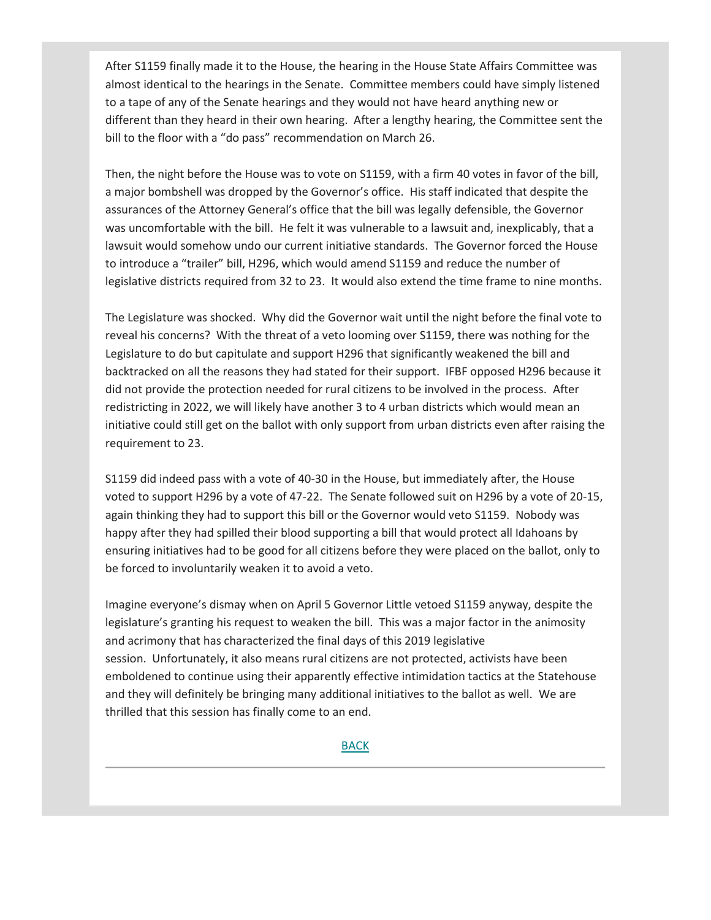After S1159 finally made it to the House, the hearing in the House State Affairs Committee was almost identical to the hearings in the Senate. Committee members could have simply listened to a tape of any of the Senate hearings and they would not have heard anything new or different than they heard in their own hearing. After a lengthy hearing, the Committee sent the bill to the floor with a "do pass" recommendation on March 26.

Then, the night before the House was to vote on S1159, with a firm 40 votes in favor of the bill, a major bombshell was dropped by the Governor's office. His staff indicated that despite the assurances of the Attorney General's office that the bill was legally defensible, the Governor was uncomfortable with the bill. He felt it was vulnerable to a lawsuit and, inexplicably, that a lawsuit would somehow undo our current initiative standards. The Governor forced the House to introduce a "trailer" bill, H296, which would amend S1159 and reduce the number of legislative districts required from 32 to 23. It would also extend the time frame to nine months.

The Legislature was shocked. Why did the Governor wait until the night before the final vote to reveal his concerns? With the threat of a veto looming over S1159, there was nothing for the Legislature to do but capitulate and support H296 that significantly weakened the bill and backtracked on all the reasons they had stated for their support. IFBF opposed H296 because it did not provide the protection needed for rural citizens to be involved in the process. After redistricting in 2022, we will likely have another 3 to 4 urban districts which would mean an initiative could still get on the ballot with only support from urban districts even after raising the requirement to 23.

S1159 did indeed pass with a vote of 40-30 in the House, but immediately after, the House voted to support H296 by a vote of 47-22. The Senate followed suit on H296 by a vote of 20-15, again thinking they had to support this bill or the Governor would veto S1159. Nobody was happy after they had spilled their blood supporting a bill that would protect all Idahoans by ensuring initiatives had to be good for all citizens before they were placed on the ballot, only to be forced to involuntarily weaken it to avoid a veto.

Imagine everyone's dismay when on April 5 Governor Little vetoed S1159 anyway, despite the legislature's granting his request to weaken the bill. This was a major factor in the animosity and acrimony that has characterized the final days of this 2019 legislative session. Unfortunately, it also means rural citizens are not protected, activists have been emboldened to continue using their apparently effective intimidation tactics at the Statehouse and they will definitely be bringing many additional initiatives to the ballot as well. We are thrilled that this session has finally come to an end.

### **[BACK](file:///C:/Users/mbechaver/AppData/Local/Microsoft/Windows/INetCache/Content.Outlook/55FT1RMR/email%20(005).mht%23Navigation)**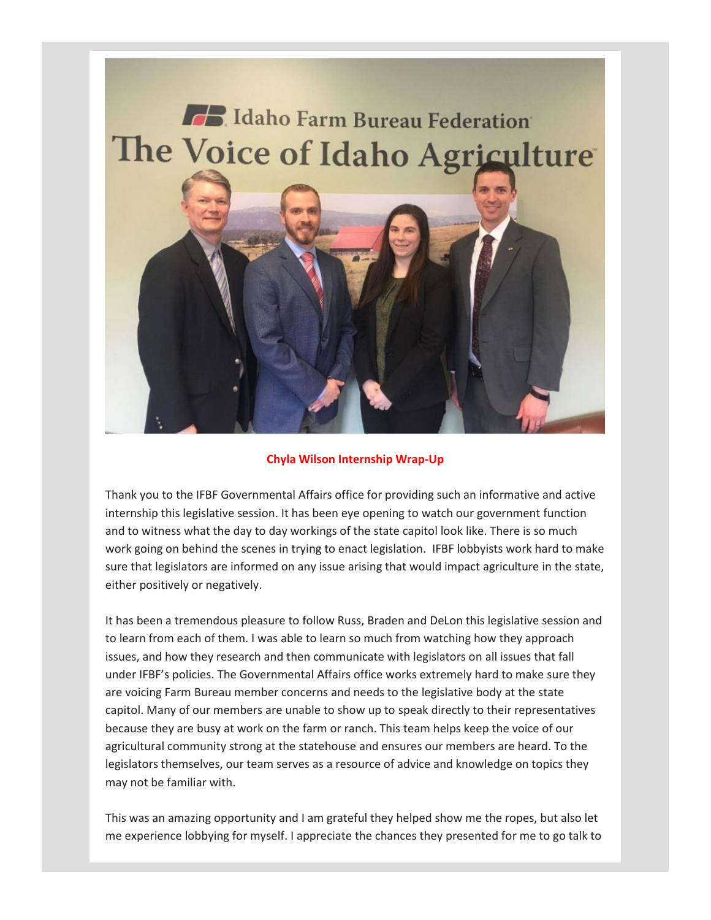

# **Chyla Wilson Internship Wrap-Up**

Thank you to the IFBF Governmental Affairs office for providing such an informative and active internship this legislative session. It has been eye opening to watch our government function and to witness what the day to day workings of the state capitol look like. There is so much work going on behind the scenes in trying to enact legislation. IFBF lobbyists work hard to make sure that legislators are informed on any issue arising that would impact agriculture in the state, either positively or negatively.

It has been a tremendous pleasure to follow Russ, Braden and DeLon this legislative session and to learn from each of them. I was able to learn so much from watching how they approach issues, and how they research and then communicate with legislators on all issues that fall under IFBF's policies. The Governmental Affairs office works extremely hard to make sure they are voicing Farm Bureau member concerns and needs to the legislative body at the state capitol. Many of our members are unable to show up to speak directly to their representatives because they are busy at work on the farm or ranch. This team helps keep the voice of our agricultural community strong at the statehouse and ensures our members are heard. To the legislators themselves, our team serves as a resource of advice and knowledge on topics they may not be familiar with.

This was an amazing opportunity and I am grateful they helped show me the ropes, but also let me experience lobbying for myself. I appreciate the chances they presented for me to go talk to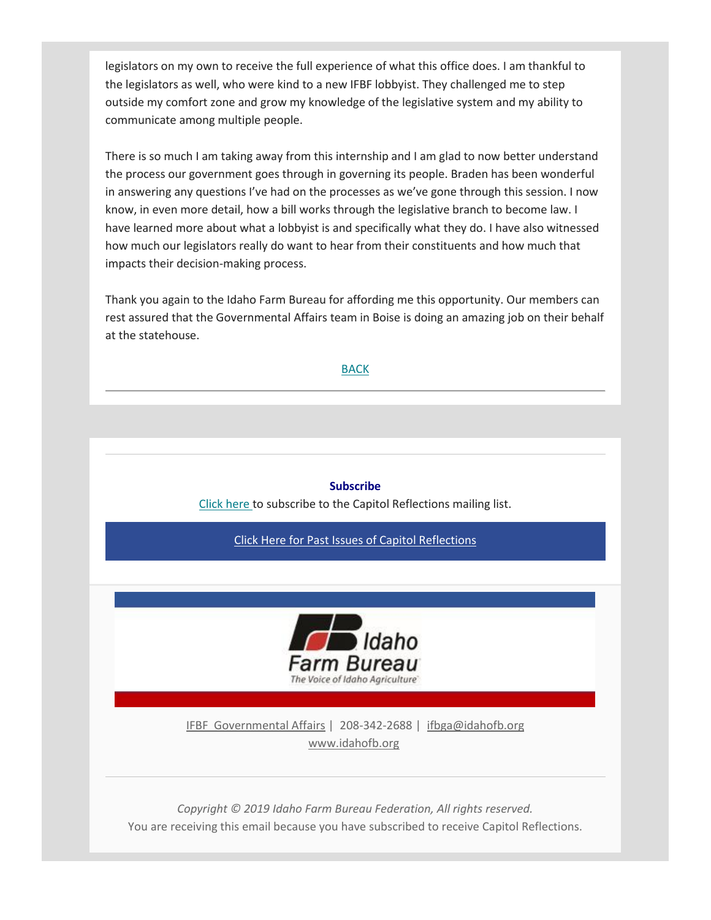legislators on my own to receive the full experience of what this office does. I am thankful to the legislators as well, who were kind to a new IFBF lobbyist. They challenged me to step outside my comfort zone and grow my knowledge of the legislative system and my ability to communicate among multiple people.

There is so much I am taking away from this internship and I am glad to now better understand the process our government goes through in governing its people. Braden has been wonderful in answering any questions I've had on the processes as we've gone through this session. I now know, in even more detail, how a bill works through the legislative branch to become law. I have learned more about what a lobbyist is and specifically what they do. I have also witnessed how much our legislators really do want to hear from their constituents and how much that impacts their decision-making process.

Thank you again to the Idaho Farm Bureau for affording me this opportunity. Our members can rest assured that the Governmental Affairs team in Boise is doing an amazing job on their behalf at the statehouse.

### [BACK](file:///C:/Users/mbechaver/AppData/Local/Microsoft/Windows/INetCache/Content.Outlook/55FT1RMR/email%20(005).mht%23Navigation)